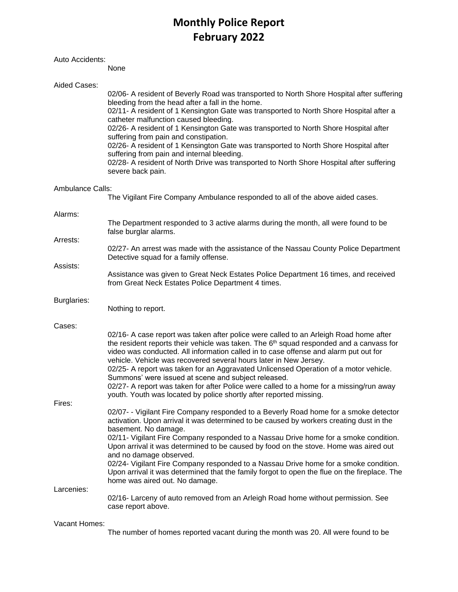# **Monthly Police Report February 2022**

### Auto Accidents:

None

| Aided Cases:     |                                                                                                                                                                                                                                                                                                                                                                                                                                         |
|------------------|-----------------------------------------------------------------------------------------------------------------------------------------------------------------------------------------------------------------------------------------------------------------------------------------------------------------------------------------------------------------------------------------------------------------------------------------|
|                  | 02/06- A resident of Beverly Road was transported to North Shore Hospital after suffering<br>bleeding from the head after a fall in the home.<br>02/11- A resident of 1 Kensington Gate was transported to North Shore Hospital after a<br>catheter malfunction caused bleeding.                                                                                                                                                        |
|                  | 02/26- A resident of 1 Kensington Gate was transported to North Shore Hospital after<br>suffering from pain and constipation.                                                                                                                                                                                                                                                                                                           |
|                  | 02/26- A resident of 1 Kensington Gate was transported to North Shore Hospital after<br>suffering from pain and internal bleeding.                                                                                                                                                                                                                                                                                                      |
|                  | 02/28- A resident of North Drive was transported to North Shore Hospital after suffering<br>severe back pain.                                                                                                                                                                                                                                                                                                                           |
| Ambulance Calls: |                                                                                                                                                                                                                                                                                                                                                                                                                                         |
|                  | The Vigilant Fire Company Ambulance responded to all of the above aided cases.                                                                                                                                                                                                                                                                                                                                                          |
| Alarms:          |                                                                                                                                                                                                                                                                                                                                                                                                                                         |
|                  | The Department responded to 3 active alarms during the month, all were found to be<br>false burglar alarms.                                                                                                                                                                                                                                                                                                                             |
| Arrests:         | 02/27- An arrest was made with the assistance of the Nassau County Police Department                                                                                                                                                                                                                                                                                                                                                    |
| Assists:         | Detective squad for a family offense.                                                                                                                                                                                                                                                                                                                                                                                                   |
|                  | Assistance was given to Great Neck Estates Police Department 16 times, and received<br>from Great Neck Estates Police Department 4 times.                                                                                                                                                                                                                                                                                               |
| Burglaries:      |                                                                                                                                                                                                                                                                                                                                                                                                                                         |
|                  | Nothing to report.                                                                                                                                                                                                                                                                                                                                                                                                                      |
| Cases:           |                                                                                                                                                                                                                                                                                                                                                                                                                                         |
|                  | 02/16- A case report was taken after police were called to an Arleigh Road home after<br>the resident reports their vehicle was taken. The $6th$ squad responded and a canvass for<br>video was conducted. All information called in to case offense and alarm put out for<br>vehicle. Vehicle was recovered several hours later in New Jersey.<br>02/25- A report was taken for an Aggravated Unlicensed Operation of a motor vehicle. |
|                  | Summons' were issued at scene and subject released.<br>02/27- A report was taken for after Police were called to a home for a missing/run away                                                                                                                                                                                                                                                                                          |
| Fires:           | youth. Youth was located by police shortly after reported missing.                                                                                                                                                                                                                                                                                                                                                                      |
|                  | 02/07- - Vigilant Fire Company responded to a Beverly Road home for a smoke detector<br>activation. Upon arrival it was determined to be caused by workers creating dust in the<br>basement. No damage.                                                                                                                                                                                                                                 |
|                  | 02/11- Vigilant Fire Company responded to a Nassau Drive home for a smoke condition.<br>Upon arrival it was determined to be caused by food on the stove. Home was aired out<br>and no damage observed.                                                                                                                                                                                                                                 |
|                  | 02/24- Vigilant Fire Company responded to a Nassau Drive home for a smoke condition.<br>Upon arrival it was determined that the family forgot to open the flue on the fireplace. The<br>home was aired out. No damage.                                                                                                                                                                                                                  |
| Larcenies:       |                                                                                                                                                                                                                                                                                                                                                                                                                                         |
|                  | 02/16- Larceny of auto removed from an Arleigh Road home without permission. See<br>case report above.                                                                                                                                                                                                                                                                                                                                  |
| Vacant Homes:    |                                                                                                                                                                                                                                                                                                                                                                                                                                         |

The number of homes reported vacant during the month was 20. All were found to be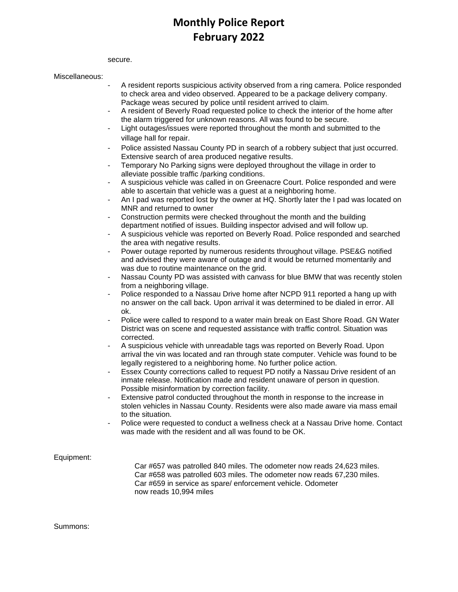## **Monthly Police Report February 2022**

secure.

#### Miscellaneous:

- A resident reports suspicious activity observed from a ring camera. Police responded to check area and video observed. Appeared to be a package delivery company. Package weas secured by police until resident arrived to claim.
- A resident of Beverly Road requested police to check the interior of the home after the alarm triggered for unknown reasons. All was found to be secure.
- Light outages/issues were reported throughout the month and submitted to the village hall for repair.
- Police assisted Nassau County PD in search of a robbery subject that just occurred. Extensive search of area produced negative results.
- Temporary No Parking signs were deployed throughout the village in order to alleviate possible traffic /parking conditions.
- A suspicious vehicle was called in on Greenacre Court. Police responded and were able to ascertain that vehicle was a guest at a neighboring home.
- An I pad was reported lost by the owner at HQ. Shortly later the I pad was located on MNR and returned to owner
- Construction permits were checked throughout the month and the building department notified of issues. Building inspector advised and will follow up.
- A suspicious vehicle was reported on Beverly Road. Police responded and searched the area with negative results.
- Power outage reported by numerous residents throughout village. PSE&G notified and advised they were aware of outage and it would be returned momentarily and was due to routine maintenance on the grid.
- Nassau County PD was assisted with canvass for blue BMW that was recently stolen from a neighboring village.
- Police responded to a Nassau Drive home after NCPD 911 reported a hang up with no answer on the call back. Upon arrival it was determined to be dialed in error. All ok.
- Police were called to respond to a water main break on East Shore Road. GN Water District was on scene and requested assistance with traffic control. Situation was corrected.
- A suspicious vehicle with unreadable tags was reported on Beverly Road. Upon arrival the vin was located and ran through state computer. Vehicle was found to be legally registered to a neighboring home. No further police action.
- Essex County corrections called to request PD notify a Nassau Drive resident of an inmate release. Notification made and resident unaware of person in question. Possible misinformation by correction facility.
- Extensive patrol conducted throughout the month in response to the increase in stolen vehicles in Nassau County. Residents were also made aware via mass email to the situation.
- Police were requested to conduct a wellness check at a Nassau Drive home. Contact was made with the resident and all was found to be OK.

Equipment:

Car #657 was patrolled 840 miles. The odometer now reads 24,623 miles. Car #658 was patrolled 603 miles. The odometer now reads 67,230 miles. Car #659 in service as spare/ enforcement vehicle. Odometer now reads 10,994 miles

Summons: